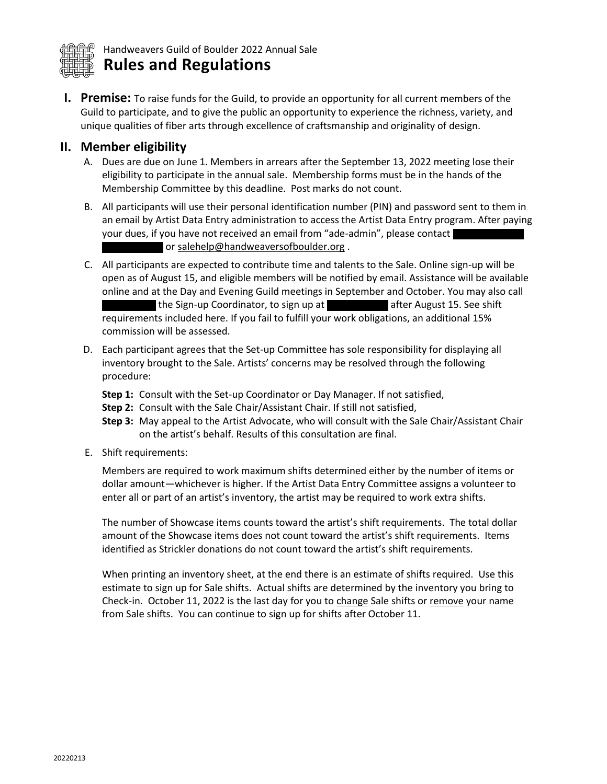

**I. Premise:** To raise funds for the Guild, to provide an opportunity for all current members of the Guild to participate, and to give the public an opportunity to experience the richness, variety, and unique qualities of fiber arts through excellence of craftsmanship and originality of design.

## **II. Member eligibility**

- A. Dues are due on June 1. Members in arrears after the September 13, 2022 meeting lose their eligibility to participate in the annual sale. Membership forms must be in the hands of the Membership Committee by this deadline. Post marks do not count.
- B. All participants will use their personal identification number (PIN) and password sent to them in an email by Artist Data Entry administration to access the Artist Data Entry program. After paying your dues, if you have not received an email from "ade-admin", please contact or [salehelp@handweaversofboulder.org](mailto:salehelp@handweaversofboulder.org).
- C. All participants are expected to contribute time and talents to the Sale. Online sign-up will be open as of August 15, and eligible members will be notified by email. Assistance will be available online and at the Day and Evening Guild meetings in September and October. You may also call the Sign-up Coordinator, to sign up at after August 15. See shift requirements included here. If you fail to fulfill your work obligations, an additional 15% commission will be assessed.
- D. Each participant agrees that the Set-up Committee has sole responsibility for displaying all inventory brought to the Sale. Artists' concerns may be resolved through the following procedure:
	- **Step 1:** Consult with the Set-up Coordinator or Day Manager. If not satisfied,
	- **Step 2:** Consult with the Sale Chair/Assistant Chair. If still not satisfied,
	- **Step 3:** May appeal to the Artist Advocate, who will consult with the Sale Chair/Assistant Chair on the artist's behalf. Results of this consultation are final.
- E. Shift requirements:

Members are required to work maximum shifts determined either by the number of items or dollar amount—whichever is higher. If the Artist Data Entry Committee assigns a volunteer to enter all or part of an artist's inventory, the artist may be required to work extra shifts.

The number of Showcase items counts toward the artist's shift requirements. The total dollar amount of the Showcase items does not count toward the artist's shift requirements. Items identified as Strickler donations do not count toward the artist's shift requirements.

When printing an inventory sheet, at the end there is an estimate of shifts required. Use this estimate to sign up for Sale shifts. Actual shifts are determined by the inventory you bring to Check-in. October 11, 2022 is the last day for you to change Sale shifts or remove your name from Sale shifts. You can continue to sign up for shifts after October 11.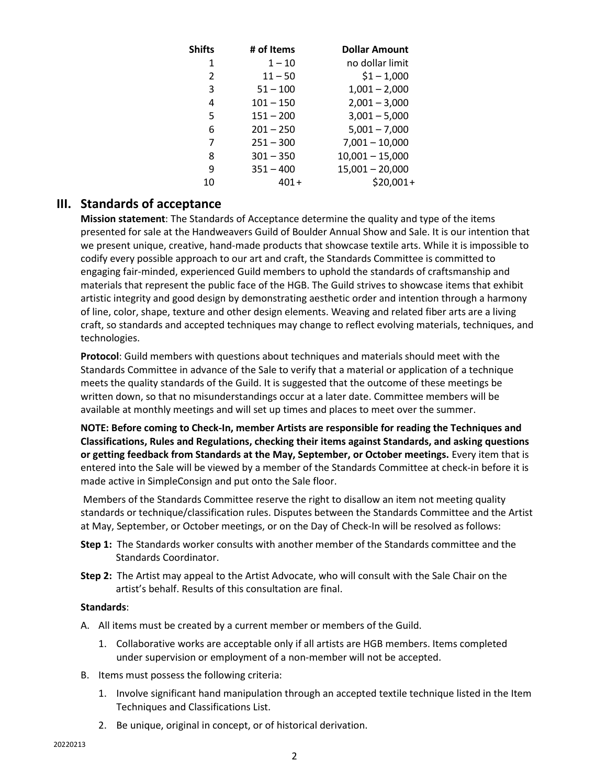| <b>Shifts</b> | # of Items  | <b>Dollar Amount</b> |
|---------------|-------------|----------------------|
| 1             | $1 - 10$    | no dollar limit      |
| $\mathcal{P}$ | $11 - 50$   | $$1 - 1,000$         |
| 3             | $51 - 100$  | $1,001 - 2,000$      |
| 4             | $101 - 150$ | $2,001 - 3,000$      |
| 5             | $151 - 200$ | $3,001 - 5,000$      |
| 6             | $201 - 250$ | $5,001 - 7,000$      |
| 7             | $251 - 300$ | $7,001 - 10,000$     |
| 8             | $301 - 350$ | $10,001 - 15,000$    |
| 9             | $351 - 400$ | $15,001 - 20,000$    |
| 10            | 401+        | $$20,001+$           |

# **III. Standards of acceptance**

**Mission statement**: The Standards of Acceptance determine the quality and type of the items presented for sale at the Handweavers Guild of Boulder Annual Show and Sale. It is our intention that we present unique, creative, hand-made products that showcase textile arts. While it is impossible to codify every possible approach to our art and craft, the Standards Committee is committed to engaging fair‐minded, experienced Guild members to uphold the standards of craftsmanship and materials that represent the public face of the HGB. The Guild strives to showcase items that exhibit artistic integrity and good design by demonstrating aesthetic order and intention through a harmony of line, color, shape, texture and other design elements. Weaving and related fiber arts are a living craft, so standards and accepted techniques may change to reflect evolving materials, techniques, and technologies.

**Protocol**: Guild members with questions about techniques and materials should meet with the Standards Committee in advance of the Sale to verify that a material or application of a technique meets the quality standards of the Guild. It is suggested that the outcome of these meetings be written down, so that no misunderstandings occur at a later date. Committee members will be available at monthly meetings and will set up times and places to meet over the summer.

**NOTE: Before coming to Check-In, member Artists are responsible for reading the Techniques and Classifications, Rules and Regulations, checking their items against Standards, and asking questions or getting feedback from Standards at the May, September, or October meetings.** Every item that is entered into the Sale will be viewed by a member of the Standards Committee at check‐in before it is made active in SimpleConsign and put onto the Sale floor.

Members of the Standards Committee reserve the right to disallow an item not meeting quality standards or technique/classification rules. Disputes between the Standards Committee and the Artist at May, September, or October meetings, or on the Day of Check-In will be resolved as follows:

- **Step 1:** The Standards worker consults with another member of the Standards committee and the Standards Coordinator.
- **Step 2:** The Artist may appeal to the Artist Advocate, who will consult with the Sale Chair on the artist's behalf. Results of this consultation are final.

#### **Standards**:

- A. All items must be created by a current member or members of the Guild.
	- 1. Collaborative works are acceptable only if all artists are HGB members. Items completed under supervision or employment of a non‐member will not be accepted.
- B. Items must possess the following criteria:
	- 1. Involve significant hand manipulation through an accepted textile technique listed in the Item Techniques and Classifications List.
	- 2. Be unique, original in concept, or of historical derivation.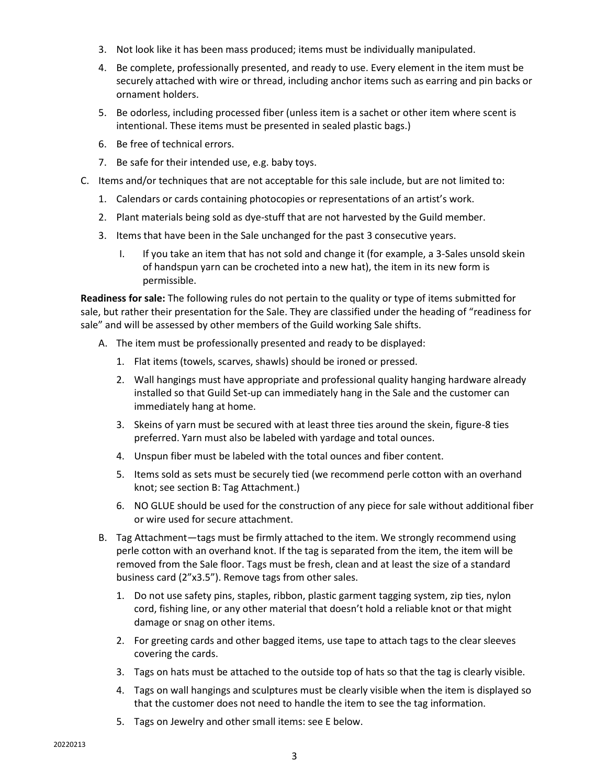- 3. Not look like it has been mass produced; items must be individually manipulated.
- 4. Be complete, professionally presented, and ready to use. Every element in the item must be securely attached with wire or thread, including anchor items such as earring and pin backs or ornament holders.
- 5. Be odorless, including processed fiber (unless item is a sachet or other item where scent is intentional. These items must be presented in sealed plastic bags.)
- 6. Be free of technical errors.
- 7. Be safe for their intended use, e.g. baby toys.
- C. Items and/or techniques that are not acceptable for this sale include, but are not limited to:
	- 1. Calendars or cards containing photocopies or representations of an artist's work.
	- 2. Plant materials being sold as dye-stuff that are not harvested by the Guild member.
	- 3. Items that have been in the Sale unchanged for the past 3 consecutive years.
		- I. If you take an item that has not sold and change it (for example, a 3-Sales unsold skein of handspun yarn can be crocheted into a new hat), the item in its new form is permissible.

**Readiness for sale:** The following rules do not pertain to the quality or type of items submitted for sale, but rather their presentation for the Sale. They are classified under the heading of "readiness for sale" and will be assessed by other members of the Guild working Sale shifts.

- A. The item must be professionally presented and ready to be displayed:
	- 1. Flat items (towels, scarves, shawls) should be ironed or pressed.
	- 2. Wall hangings must have appropriate and professional quality hanging hardware already installed so that Guild Set-up can immediately hang in the Sale and the customer can immediately hang at home.
	- 3. Skeins of yarn must be secured with at least three ties around the skein, figure-8 ties preferred. Yarn must also be labeled with yardage and total ounces.
	- 4. Unspun fiber must be labeled with the total ounces and fiber content.
	- 5. Items sold as sets must be securely tied (we recommend perle cotton with an overhand knot; see section B: Tag Attachment.)
	- 6. NO GLUE should be used for the construction of any piece for sale without additional fiber or wire used for secure attachment.
- B. Tag Attachment—tags must be firmly attached to the item. We strongly recommend using perle cotton with an overhand knot. If the tag is separated from the item, the item will be removed from the Sale floor. Tags must be fresh, clean and at least the size of a standard business card (2"x3.5"). Remove tags from other sales.
	- 1. Do not use safety pins, staples, ribbon, plastic garment tagging system, zip ties, nylon cord, fishing line, or any other material that doesn't hold a reliable knot or that might damage or snag on other items.
	- 2. For greeting cards and other bagged items, use tape to attach tags to the clear sleeves covering the cards.
	- 3. Tags on hats must be attached to the outside top of hats so that the tag is clearly visible.
	- 4. Tags on wall hangings and sculptures must be clearly visible when the item is displayed so that the customer does not need to handle the item to see the tag information.
	- 5. Tags on Jewelry and other small items: see E below.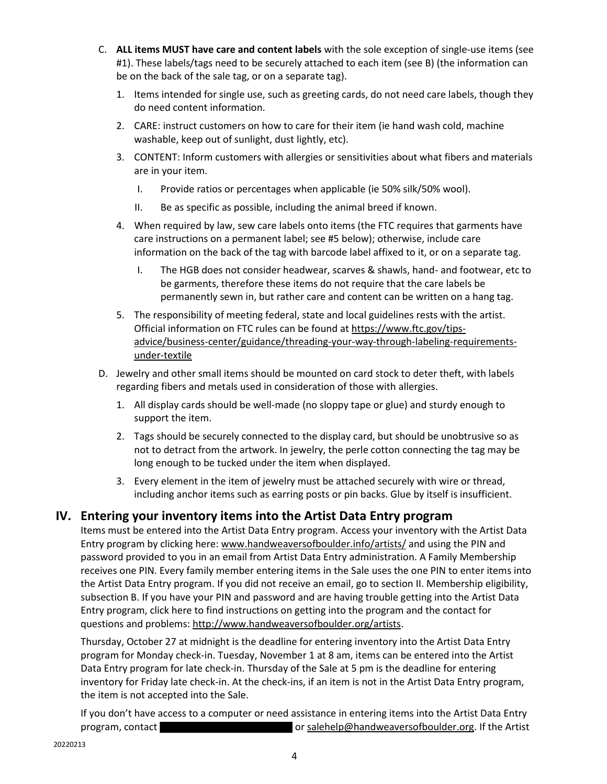- C. **ALL items MUST have care and content labels** with the sole exception of single-use items (see #1). These labels/tags need to be securely attached to each item (see B) (the information can be on the back of the sale tag, or on a separate tag).
	- 1. Items intended for single use, such as greeting cards, do not need care labels, though they do need content information.
	- 2. CARE: instruct customers on how to care for their item (ie hand wash cold, machine washable, keep out of sunlight, dust lightly, etc).
	- 3. CONTENT: Inform customers with allergies or sensitivities about what fibers and materials are in your item.
		- I. Provide ratios or percentages when applicable (ie 50% silk/50% wool).
		- II. Be as specific as possible, including the animal breed if known.
	- 4. When required by law, sew care labels onto items (the FTC requires that garments have care instructions on a permanent label; see #5 below); otherwise, include care information on the back of the tag with barcode label affixed to it, or on a separate tag.
		- I. The HGB does not consider headwear, scarves & shawls, hand- and footwear, etc to be garments, therefore these items do not require that the care labels be permanently sewn in, but rather care and content can be written on a hang tag.
	- 5. The responsibility of meeting federal, state and local guidelines rests with the artist. Official information on FTC rules can be found a[t https://www.ftc.gov/tips](https://www.ftc.gov/tips-advice/business-center/guidance/threading-your-way-through-labeling-requirements-under-textile)[advice/business-center/guidance/threading-your-way-through-labeling-requirements](https://www.ftc.gov/tips-advice/business-center/guidance/threading-your-way-through-labeling-requirements-under-textile)[under-textile](https://www.ftc.gov/tips-advice/business-center/guidance/threading-your-way-through-labeling-requirements-under-textile)
- D. Jewelry and other small items should be mounted on card stock to deter theft, with labels regarding fibers and metals used in consideration of those with allergies.
	- 1. All display cards should be well-made (no sloppy tape or glue) and sturdy enough to support the item.
	- 2. Tags should be securely connected to the display card, but should be unobtrusive so as not to detract from the artwork. In jewelry, the perle cotton connecting the tag may be long enough to be tucked under the item when displayed.
	- 3. Every element in the item of jewelry must be attached securely with wire or thread, including anchor items such as earring posts or pin backs. Glue by itself is insufficient.

# **IV. Entering your inventory items into the Artist Data Entry program**

Items must be entered into the Artist Data Entry program. Access your inventory with the Artist Data Entry program by clicking here: [www.handweaversofboulder.info/artists/](http://www.handweaversofboulder.info/artists/) and using the PIN and password provided to you in an email from Artist Data Entry administration. A Family Membership receives one PIN. Every family member entering items in the Sale uses the one PIN to enter items into the Artist Data Entry program. If you did not receive an email, go to section II. Membership eligibility, subsection B. If you have your PIN and password and are having trouble getting into the Artist Data Entry program, click here to find instructions on getting into the program and the contact for questions and problems: [http://www.handweaversofboulder.org/artists.](http://www.handweaversofboulder.org/artists)

Thursday, October 27 at midnight is the deadline for entering inventory into the Artist Data Entry program for Monday check-in. Tuesday, November 1 at 8 am, items can be entered into the Artist Data Entry program for late check-in. Thursday of the Sale at 5 pm is the deadline for entering inventory for Friday late check-in. At the check-ins, if an item is not in the Artist Data Entry program, the item is not accepted into the Sale.

If you don't have access to a computer or need assistance in entering items into the Artist Data Entry program, contact **o[r salehelp@handweaversofboulder.org.](mailto:salehelp@handweaversofboulder.org)** If the Artist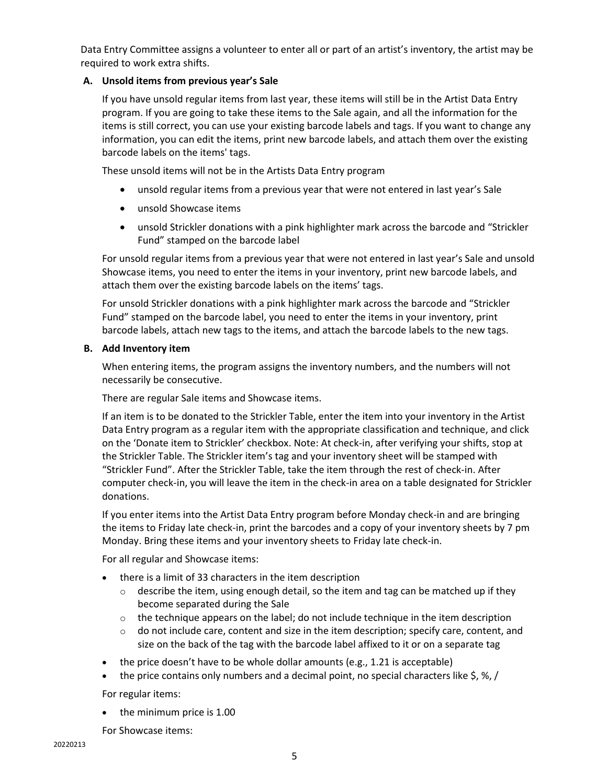Data Entry Committee assigns a volunteer to enter all or part of an artist's inventory, the artist may be required to work extra shifts.

#### **A. Unsold items from previous year's Sale**

If you have unsold regular items from last year, these items will still be in the Artist Data Entry program. If you are going to take these items to the Sale again, and all the information for the items is still correct, you can use your existing barcode labels and tags. If you want to change any information, you can edit the items, print new barcode labels, and attach them over the existing barcode labels on the items' tags.

These unsold items will not be in the Artists Data Entry program

- unsold regular items from a previous year that were not entered in last year's Sale
- unsold Showcase items
- unsold Strickler donations with a pink highlighter mark across the barcode and "Strickler Fund" stamped on the barcode label

For unsold regular items from a previous year that were not entered in last year's Sale and unsold Showcase items, you need to enter the items in your inventory, print new barcode labels, and attach them over the existing barcode labels on the items' tags.

For unsold Strickler donations with a pink highlighter mark across the barcode and "Strickler Fund" stamped on the barcode label, you need to enter the items in your inventory, print barcode labels, attach new tags to the items, and attach the barcode labels to the new tags.

#### **B. Add Inventory item**

When entering items, the program assigns the inventory numbers, and the numbers will not necessarily be consecutive.

There are regular Sale items and Showcase items.

If an item is to be donated to the Strickler Table, enter the item into your inventory in the Artist Data Entry program as a regular item with the appropriate classification and technique, and click on the 'Donate item to Strickler' checkbox. Note: At check-in, after verifying your shifts, stop at the Strickler Table. The Strickler item's tag and your inventory sheet will be stamped with "Strickler Fund". After the Strickler Table, take the item through the rest of check-in. After computer check-in, you will leave the item in the check-in area on a table designated for Strickler donations.

If you enter items into the Artist Data Entry program before Monday check-in and are bringing the items to Friday late check-in, print the barcodes and a copy of your inventory sheets by 7 pm Monday. Bring these items and your inventory sheets to Friday late check-in.

For all regular and Showcase items:

- there is a limit of 33 characters in the item description
	- $\circ$  describe the item, using enough detail, so the item and tag can be matched up if they become separated during the Sale
	- $\circ$  the technique appears on the label; do not include technique in the item description
	- $\circ$  do not include care, content and size in the item description; specify care, content, and size on the back of the tag with the barcode label affixed to it or on a separate tag
- the price doesn't have to be whole dollar amounts (e.g., 1.21 is acceptable)
- the price contains only numbers and a decimal point, no special characters like  $\zeta$ ,  $\frac{1}{6}$ ,  $\frac{1}{6}$ ,  $\frac{1}{10}$

For regular items:

the minimum price is 1.00

For Showcase items: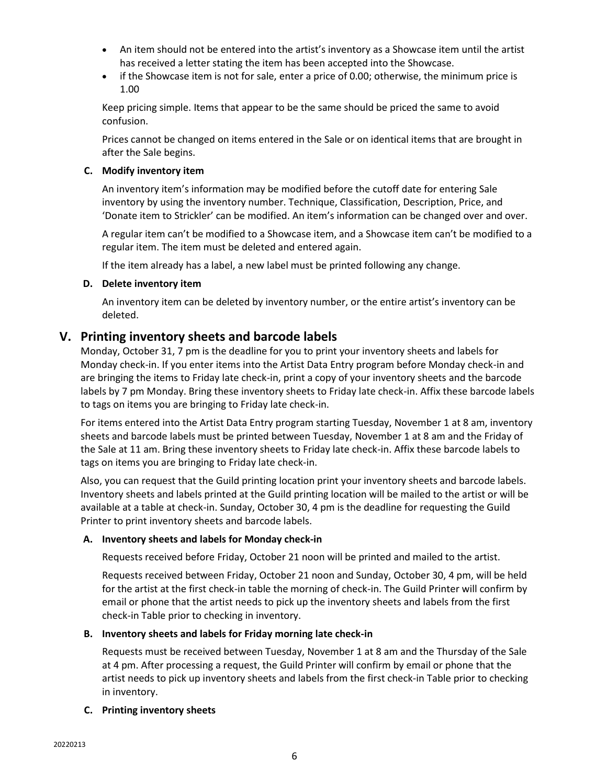- An item should not be entered into the artist's inventory as a Showcase item until the artist has received a letter stating the item has been accepted into the Showcase.
- if the Showcase item is not for sale, enter a price of 0.00; otherwise, the minimum price is 1.00

Keep pricing simple. Items that appear to be the same should be priced the same to avoid confusion.

Prices cannot be changed on items entered in the Sale or on identical items that are brought in after the Sale begins.

#### **C. Modify inventory item**

An inventory item's information may be modified before the cutoff date for entering Sale inventory by using the inventory number. Technique, Classification, Description, Price, and 'Donate item to Strickler' can be modified. An item's information can be changed over and over.

A regular item can't be modified to a Showcase item, and a Showcase item can't be modified to a regular item. The item must be deleted and entered again.

If the item already has a label, a new label must be printed following any change.

#### **D. Delete inventory item**

An inventory item can be deleted by inventory number, or the entire artist's inventory can be deleted.

# **V. Printing inventory sheets and barcode labels**

Monday, October 31, 7 pm is the deadline for you to print your inventory sheets and labels for Monday check-in. If you enter items into the Artist Data Entry program before Monday check-in and are bringing the items to Friday late check-in, print a copy of your inventory sheets and the barcode labels by 7 pm Monday. Bring these inventory sheets to Friday late check-in. Affix these barcode labels to tags on items you are bringing to Friday late check-in.

For items entered into the Artist Data Entry program starting Tuesday, November 1 at 8 am, inventory sheets and barcode labels must be printed between Tuesday, November 1 at 8 am and the Friday of the Sale at 11 am. Bring these inventory sheets to Friday late check-in. Affix these barcode labels to tags on items you are bringing to Friday late check-in.

Also, you can request that the Guild printing location print your inventory sheets and barcode labels. Inventory sheets and labels printed at the Guild printing location will be mailed to the artist or will be available at a table at check-in. Sunday, October 30, 4 pm is the deadline for requesting the Guild Printer to print inventory sheets and barcode labels.

#### **A. Inventory sheets and labels for Monday check-in**

Requests received before Friday, October 21 noon will be printed and mailed to the artist.

Requests received between Friday, October 21 noon and Sunday, October 30, 4 pm, will be held for the artist at the first check-in table the morning of check-in. The Guild Printer will confirm by email or phone that the artist needs to pick up the inventory sheets and labels from the first check-in Table prior to checking in inventory.

#### **B. Inventory sheets and labels for Friday morning late check-in**

Requests must be received between Tuesday, November 1 at 8 am and the Thursday of the Sale at 4 pm. After processing a request, the Guild Printer will confirm by email or phone that the artist needs to pick up inventory sheets and labels from the first check-in Table prior to checking in inventory.

#### **C. Printing inventory sheets**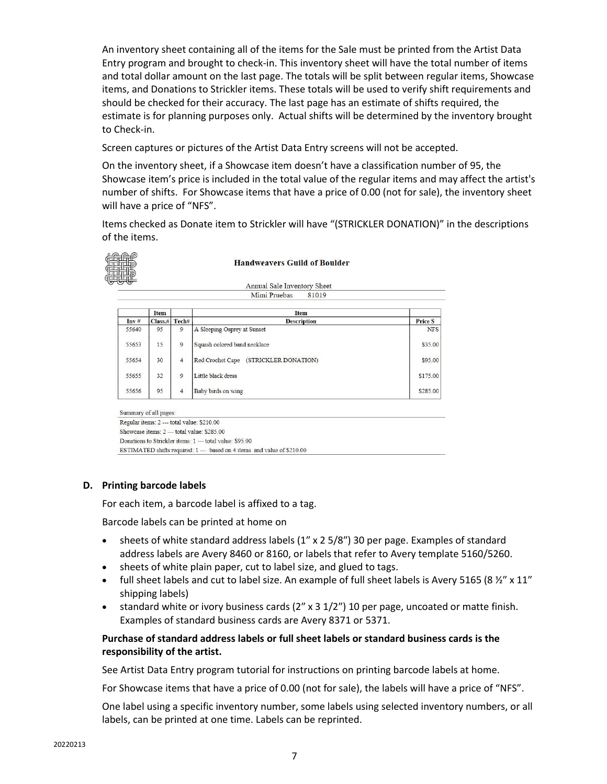An inventory sheet containing all of the items for the Sale must be printed from the Artist Data Entry program and brought to check-in. This inventory sheet will have the total number of items and total dollar amount on the last page. The totals will be split between regular items, Showcase items, and Donations to Strickler items. These totals will be used to verify shift requirements and should be checked for their accuracy. The last page has an estimate of shifts required, the estimate is for planning purposes only. Actual shifts will be determined by the inventory brought to Check-in.

Screen captures or pictures of the Artist Data Entry screens will not be accepted.

On the inventory sheet, if a Showcase item doesn't have a classification number of 95, the Showcase item's price is included in the total value of the regular items and may affect the artist's number of shifts. For Showcase items that have a price of 0.00 (not for sale), the inventory sheet will have a price of "NFS".

Items checked as Donate item to Strickler will have "(STRICKLER DONATION)" in the descriptions of the items.



**Handweavers Guild of Boulder** 

Annual Sale Inventory Sheet 81019 Mimi Pruebas

|       | <b>Item</b> |                | Item                                     |                |
|-------|-------------|----------------|------------------------------------------|----------------|
| Inv#  | Class#      | Tech#          | <b>Description</b>                       | <b>Price S</b> |
| 55640 | 95          | 9              | A Sleeping Osprey at Sunset              | <b>NFS</b>     |
| 55653 | 15          | $\overline{9}$ | Squash colored band necklace             | \$35.00        |
| 55654 | 30          | $\overline{4}$ | (STRICKLER DONATION)<br>Red Crochet Cape | \$95.00        |
| 55655 | 32          | 9              | Little black dress                       | \$175.00       |
| 55656 | 95          | $\overline{4}$ | Baby birds on wing                       | \$285.00       |

Summary of all pages: Regular items: 2 --- total value: \$210.00 Showcase items: 2 --- total value: \$285.00 Donations to Strickler items: 1 --- total value: \$95.00 ESTIMATED shifts required: 1 --- based on 4 items and value of \$210.00

#### **D. Printing barcode labels**

For each item, a barcode label is affixed to a tag.

Barcode labels can be printed at home on

- sheets of white standard address labels  $(1'' \times 2.5/8'')$  30 per page. Examples of standard address labels are Avery 8460 or 8160, or labels that refer to Avery template 5160/5260.
- sheets of white plain paper, cut to label size, and glued to tags.
- full sheet labels and cut to label size. An example of full sheet labels is Avery 5165 (8 $\frac{1}{2}$  x 11" shipping labels)
- standard white or ivory business cards  $(2'' \times 3 \frac{1}{2''})$  10 per page, uncoated or matte finish. Examples of standard business cards are Avery 8371 or 5371.

#### **Purchase of standard address labels or full sheet labels or standard business cards is the responsibility of the artist.**

See Artist Data Entry program tutorial for instructions on printing barcode labels at home.

For Showcase items that have a price of 0.00 (not for sale), the labels will have a price of "NFS".

One label using a specific inventory number, some labels using selected inventory numbers, or all labels, can be printed at one time. Labels can be reprinted.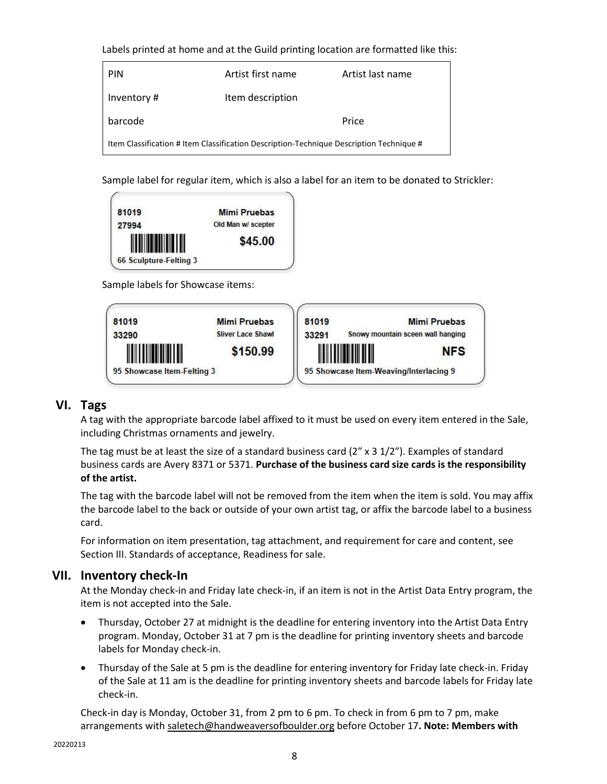Labels printed at home and at the Guild printing location are formatted like this:

| <b>PIN</b>                                                                              | Artist first name | Artist last name |  |  |  |
|-----------------------------------------------------------------------------------------|-------------------|------------------|--|--|--|
| Inventory#                                                                              | Item description  |                  |  |  |  |
| barcode                                                                                 |                   | Price            |  |  |  |
| Item Classification # Item Classification Description-Technique Description Technique # |                   |                  |  |  |  |

Sample label for regular item, which is also a label for an item to be donated to Strickler:



Sample labels for Showcase items:



# **VI. Tags**

A tag with the appropriate barcode label affixed to it must be used on every item entered in the Sale, including Christmas ornaments and jewelry.

The tag must be at least the size of a standard business card  $(2'' \times 3 \frac{1}{2''})$ . Examples of standard business cards are Avery 8371 or 5371. **Purchase of the business card size cards is the responsibility of the artist.**

The tag with the barcode label will not be removed from the item when the item is sold. You may affix the barcode label to the back or outside of your own artist tag, or affix the barcode label to a business card.

For information on item presentation, tag attachment, and requirement for care and content, see Section III. Standards of acceptance, Readiness for sale.

# **VII. Inventory check-In**

At the Monday check-in and Friday late check-in, if an item is not in the Artist Data Entry program, the item is not accepted into the Sale.

- Thursday, October 27 at midnight is the deadline for entering inventory into the Artist Data Entry program. Monday, October 31 at 7 pm is the deadline for printing inventory sheets and barcode labels for Monday check-in.
- Thursday of the Sale at 5 pm is the deadline for entering inventory for Friday late check-in. Friday of the Sale at 11 am is the deadline for printing inventory sheets and barcode labels for Friday late check-in.

Check-in day is Monday, October 31, from 2 pm to 6 pm. To check in from 6 pm to 7 pm, make arrangements with [saletech@handweaversofboulder.org](mailto:saletech@handweaversofboulder.org) before October 17**. Note: Members with**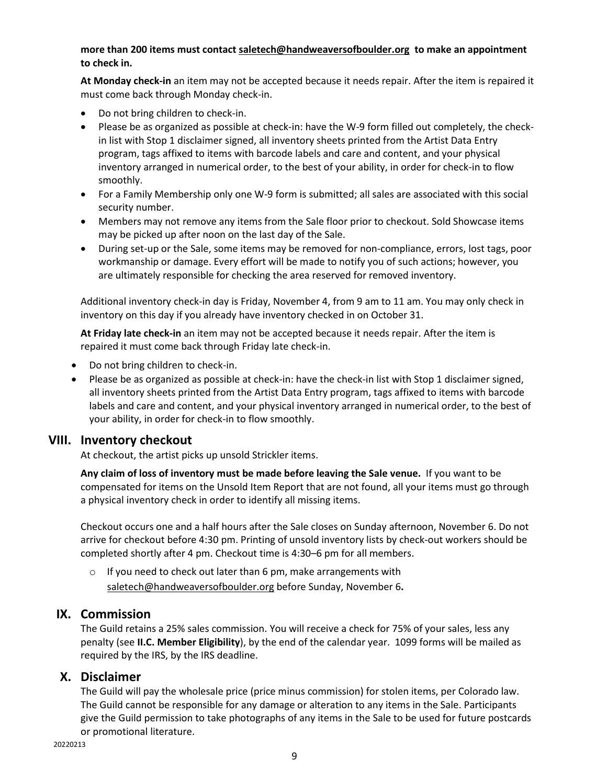#### **more than 200 items must contact [saletech@handweaversofboulder.org](mailto:saletech@handweaversofboulder.org) to make an appointment to check in.**

**At Monday check-in** an item may not be accepted because it needs repair. After the item is repaired it must come back through Monday check-in.

- Do not bring children to check-in.
- Please be as organized as possible at check-in: have the W-9 form filled out completely, the checkin list with Stop 1 disclaimer signed, all inventory sheets printed from the Artist Data Entry program, tags affixed to items with barcode labels and care and content, and your physical inventory arranged in numerical order, to the best of your ability, in order for check-in to flow smoothly.
- For a Family Membership only one W-9 form is submitted; all sales are associated with this social security number.
- Members may not remove any items from the Sale floor prior to checkout. Sold Showcase items may be picked up after noon on the last day of the Sale.
- During set-up or the Sale, some items may be removed for non-compliance, errors, lost tags, poor workmanship or damage. Every effort will be made to notify you of such actions; however, you are ultimately responsible for checking the area reserved for removed inventory.

Additional inventory check-in day is Friday, November 4, from 9 am to 11 am. You may only check in inventory on this day if you already have inventory checked in on October 31.

**At Friday late check-in** an item may not be accepted because it needs repair. After the item is repaired it must come back through Friday late check-in.

- Do not bring children to check-in.
- Please be as organized as possible at check-in: have the check-in list with Stop 1 disclaimer signed, all inventory sheets printed from the Artist Data Entry program, tags affixed to items with barcode labels and care and content, and your physical inventory arranged in numerical order, to the best of your ability, in order for check-in to flow smoothly.

# **VIII. Inventory checkout**

At checkout, the artist picks up unsold Strickler items.

**Any claim of loss of inventory must be made before leaving the Sale venue.** If you want to be compensated for items on the Unsold Item Report that are not found, all your items must go through a physical inventory check in order to identify all missing items.

Checkout occurs one and a half hours after the Sale closes on Sunday afternoon, November 6. Do not arrive for checkout before 4:30 pm. Printing of unsold inventory lists by check-out workers should be completed shortly after 4 pm. Checkout time is 4:30–6 pm for all members.

 $\circ$  If you need to check out later than 6 pm, make arrangements with [saletech@handweaversofboulder.org](mailto:saletech@handweaversofboulder.org) before Sunday, November 6**.**

# **IX. Commission**

The Guild retains a 25% sales commission. You will receive a check for 75% of your sales, less any penalty (see **II.C. Member Eligibility**), by the end of the calendar year. 1099 forms will be mailed as required by the IRS, by the IRS deadline.

# **X. Disclaimer**

The Guild will pay the wholesale price (price minus commission) for stolen items, per Colorado law. The Guild cannot be responsible for any damage or alteration to any items in the Sale. Participants give the Guild permission to take photographs of any items in the Sale to be used for future postcards or promotional literature.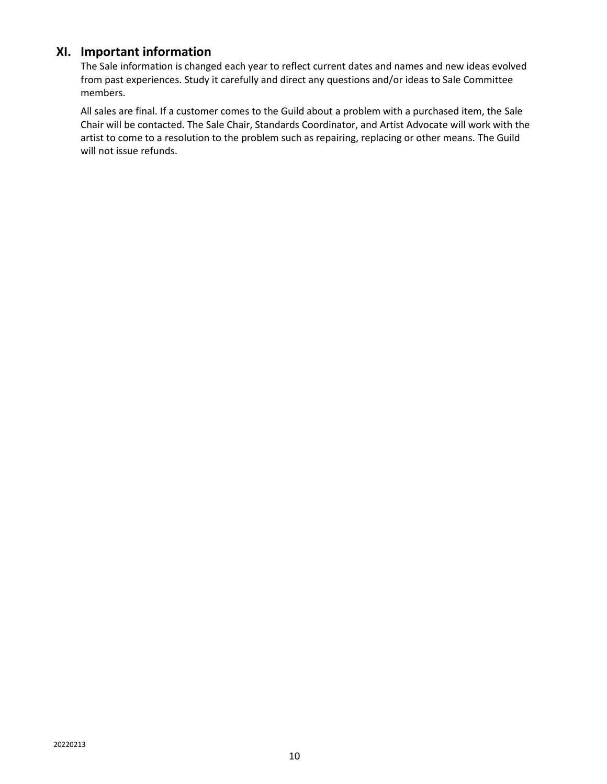# **XI. Important information**

The Sale information is changed each year to reflect current dates and names and new ideas evolved from past experiences. Study it carefully and direct any questions and/or ideas to Sale Committee members.

All sales are final. If a customer comes to the Guild about a problem with a purchased item, the Sale Chair will be contacted. The Sale Chair, Standards Coordinator, and Artist Advocate will work with the artist to come to a resolution to the problem such as repairing, replacing or other means. The Guild will not issue refunds.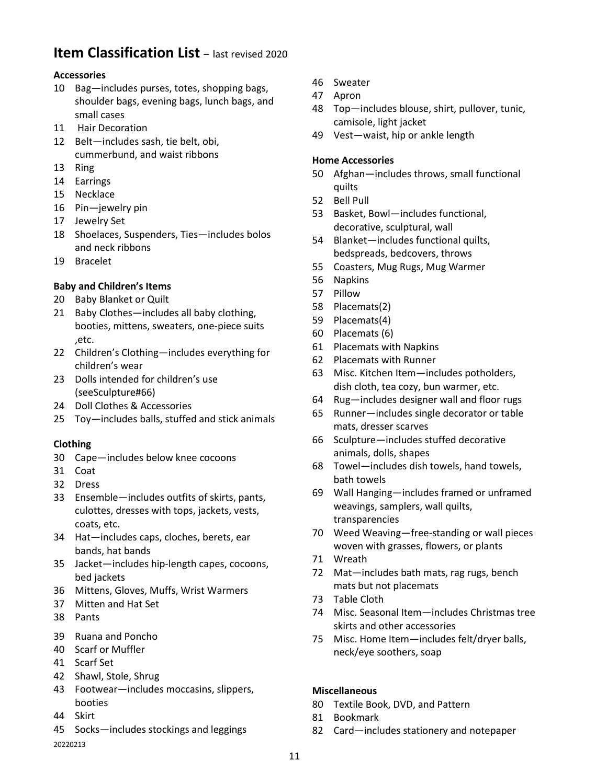# **Item Classification List** – last revised 2020

## **Accessories**

- Bag—includes purses, totes, shopping bags, shoulder bags, evening bags, lunch bags, and small cases
- Hair Decoration
- Belt—includes sash, tie belt, obi, cummerbund, and waist ribbons
- Ring
- Earrings
- Necklace
- Pin—jewelry pin
- Jewelry Set
- Shoelaces, Suspenders, Ties—includes bolos and neck ribbons
- Bracelet

#### **Baby and Children's Items**

- Baby Blanket or Quilt
- 21 Baby Clothes—includes all baby clothing, booties, mittens, sweaters, one‐piece suits ,etc.
- Children's Clothing—includes everything for children's wear
- Dolls intended for children's use (seeSculpture#66)
- Doll Clothes & Accessories
- Toy—includes balls, stuffed and stick animals

#### **Clothing**

- Cape—includes below knee cocoons
- Coat
- Dress
- Ensemble—includes outfits of skirts, pants, culottes, dresses with tops, jackets, vests, coats, etc.
- Hat—includes caps, cloches, berets, ear bands, hat bands
- Jacket—includes hip‐length capes, cocoons, bed jackets
- Mittens, Gloves, Muffs, Wrist Warmers
- Mitten and Hat Set
- Pants
- Ruana and Poncho
- Scarf or Muffler
- Scarf Set
- Shawl, Stole, Shrug
- Footwear—includes moccasins, slippers, booties
- Skirt
- Socks—includes stockings and leggings

- Sweater
- Apron
- Top—includes blouse, shirt, pullover, tunic, camisole, light jacket
- Vest—waist, hip or ankle length

#### **Home Accessories**

- Afghan—includes throws, small functional quilts
- Bell Pull
- Basket, Bowl—includes functional, decorative, sculptural, wall
- Blanket—includes functional quilts, bedspreads, bedcovers, throws
- Coasters, Mug Rugs, Mug Warmer
- Napkins
- Pillow
- Placemats(2)
- Placemats(4)
- Placemats (6)
- Placemats with Napkins
- Placemats with Runner
- Misc. Kitchen Item—includes potholders, dish cloth, tea cozy, bun warmer, etc.
- Rug—includes designer wall and floor rugs
- Runner—includes single decorator or table mats, dresser scarves
- Sculpture—includes stuffed decorative animals, dolls, shapes
- Towel—includes dish towels, hand towels, bath towels
- Wall Hanging—includes framed or unframed weavings, samplers, wall quilts, transparencies
- 70 Weed Weaving—free-standing or wall pieces woven with grasses, flowers, or plants
- Wreath
- Mat—includes bath mats, rag rugs, bench mats but not placemats
- Table Cloth
- Misc. Seasonal Item—includes Christmas tree skirts and other accessories
- Misc. Home Item—includes felt/dryer balls, neck/eye soothers, soap

## **Miscellaneous**

- Textile Book, DVD, and Pattern
- Bookmark
- Card—includes stationery and notepaper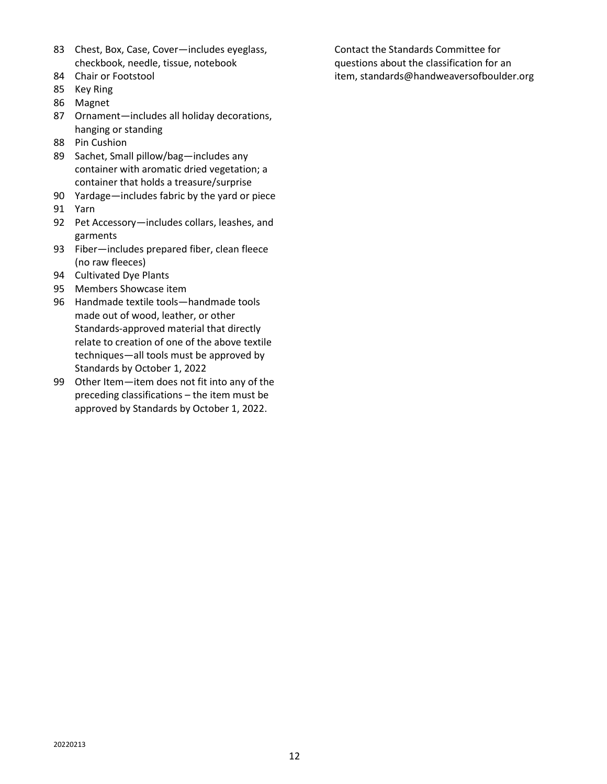- 83 Chest, Box, Case, Cover—includes eyeglass, checkbook, needle, tissue, notebook
- 84 Chair or Footstool
- 85 Key Ring
- 86 Magnet
- 87 Ornament—includes all holiday decorations, hanging or standing
- 88 Pin Cushion
- 89 Sachet, Small pillow/bag—includes any container with aromatic dried vegetation; a container that holds a treasure/surprise
- 90 Yardage—includes fabric by the yard or piece 91 Yarn
- 92 Pet Accessory—includes collars, leashes, and garments
- 93 Fiber—includes prepared fiber, clean fleece (no raw fleeces)
- 94 Cultivated Dye Plants
- 95 Members Showcase item
- 96 Handmade textile tools—handmade tools made out of wood, leather, or other Standards-approved material that directly relate to creation of one of the above textile techniques—all tools must be approved by Standards by October 1, 2022
- 99 Other Item—item does not fit into any of the preceding classifications – the item must be approved by Standards by October 1, 2022.

Contact the Standards Committee for questions about the classification for an item, standards@handweaversofboulder.org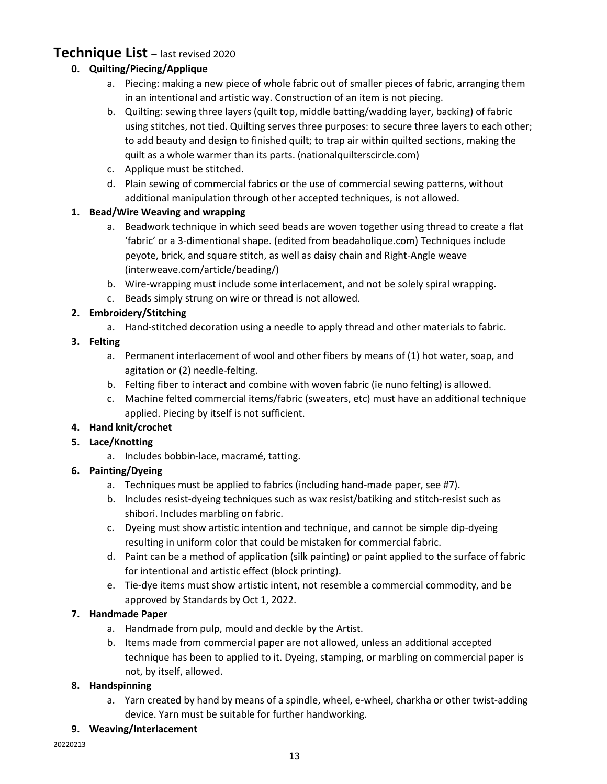# **Technique List** – last revised 2020

# **0. Quilting/Piecing/Applique**

- a. Piecing: making a new piece of whole fabric out of smaller pieces of fabric, arranging them in an intentional and artistic way. Construction of an item is not piecing.
- b. Quilting: sewing three layers (quilt top, middle batting/wadding layer, backing) of fabric using stitches, not tied. Quilting serves three purposes: to secure three layers to each other; to add beauty and design to finished quilt; to trap air within quilted sections, making the quilt as a whole warmer than its parts. (nationalquilterscircle.com)
- c. Applique must be stitched.
- d. Plain sewing of commercial fabrics or the use of commercial sewing patterns, without additional manipulation through other accepted techniques, is not allowed.

# **1. Bead/Wire Weaving and wrapping**

- a. Beadwork technique in which seed beads are woven together using thread to create a flat 'fabric' or a 3-dimentional shape. (edited from beadaholique.com) Techniques include peyote, brick, and square stitch, as well as daisy chain and Right-Angle weave (interweave.com/article/beading/)
- b. Wire-wrapping must include some interlacement, and not be solely spiral wrapping.
- c. Beads simply strung on wire or thread is not allowed.

# **2. Embroidery/Stitching**

a. Hand-stitched decoration using a needle to apply thread and other materials to fabric.

## **3. Felting**

- a. Permanent interlacement of wool and other fibers by means of (1) hot water, soap, and agitation or (2) needle-felting.
- b. Felting fiber to interact and combine with woven fabric (ie nuno felting) is allowed.
- c. Machine felted commercial items/fabric (sweaters, etc) must have an additional technique applied. Piecing by itself is not sufficient.

# **4. Hand knit/crochet**

# **5. Lace/Knotting**

a. Includes bobbin-lace, macramé, tatting.

# **6. Painting/Dyeing**

- a. Techniques must be applied to fabrics (including hand-made paper, see #7).
- b. Includes resist-dyeing techniques such as wax resist/batiking and stitch-resist such as shibori. Includes marbling on fabric.
- c. Dyeing must show artistic intention and technique, and cannot be simple dip-dyeing resulting in uniform color that could be mistaken for commercial fabric.
- d. Paint can be a method of application (silk painting) or paint applied to the surface of fabric for intentional and artistic effect (block printing).
- e. Tie-dye items must show artistic intent, not resemble a commercial commodity, and be approved by Standards by Oct 1, 2022.

# **7. Handmade Paper**

- a. Handmade from pulp, mould and deckle by the Artist.
- b. Items made from commercial paper are not allowed, unless an additional accepted technique has been to applied to it. Dyeing, stamping, or marbling on commercial paper is not, by itself, allowed.

# **8. Handspinning**

a. Yarn created by hand by means of a spindle, wheel, e-wheel, charkha or other twist-adding device. Yarn must be suitable for further handworking.

#### **9. Weaving/Interlacement**